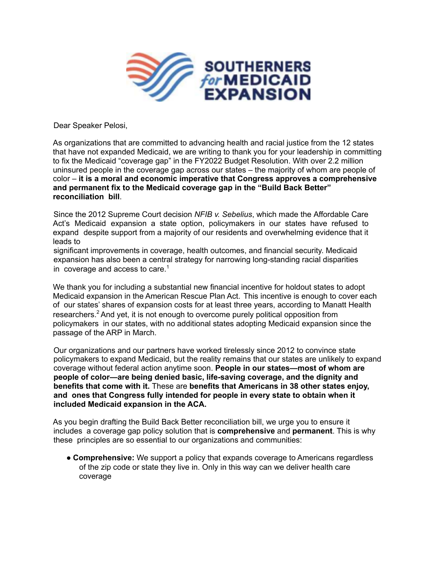

Dear Speaker Pelosi,

As organizations that are committed to advancing health and racial justice from the 12 states that have not expanded Medicaid, we are writing to thank you for your leadership in committing to fix the Medicaid "coverage gap" in the FY2022 Budget Resolution. With over 2.2 million uninsured people in the coverage gap across our states – the majority of whom are people of color – **it is a moral and economic imperative that Congress approves a comprehensive and permanent fix to the Medicaid coverage gap in the "Build Back Better" reconciliation bill**.

Since the 2012 Supreme Court decision *NFIB v. Sebelius*, which made the Affordable Care Act's Medicaid expansion a state option, policymakers in our states have refused to expand despite support from a majority of our residents and overwhelming evidence that it leads to

significant improvements in coverage, health outcomes, and financial security. Medicaid expansion has also been a central strategy for narrowing long-standing racial disparities in coverage and access to care.<sup>1</sup>

We thank you for including a substantial new financial incentive for holdout states to adopt Medicaid expansion in the American Rescue Plan Act. This incentive is enough to cover each of our states' shares of expansion costs for at least three years, according to Manatt Health researchers.<sup>2</sup> And yet, it is not enough to overcome purely political opposition from policymakers in our states, with no additional states adopting Medicaid expansion since the passage of the ARP in March.

Our organizations and our partners have worked tirelessly since 2012 to convince state policymakers to expand Medicaid, but the reality remains that our states are unlikely to expand coverage without federal action anytime soon. **People in our states—most of whom are people of color—are being denied basic, life-saving coverage, and the dignity and benefits that come with it.** These are **benefits that Americans in 38 other states enjoy, and ones that Congress fully intended for people in every state to obtain when it included Medicaid expansion in the ACA.**

As you begin drafting the Build Back Better reconciliation bill, we urge you to ensure it includes a coverage gap policy solution that is **comprehensive** and **permanent**. This is why these principles are so essential to our organizations and communities:

● **Comprehensive:** We support a policy that expands coverage to Americans regardless of the zip code or state they live in. Only in this way can we deliver health care coverage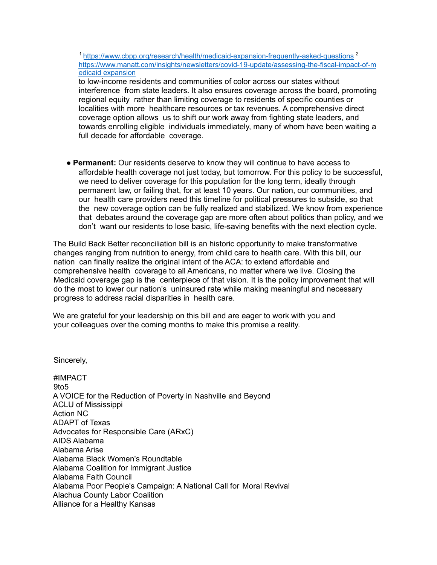<sup>1</sup> https://www.cbpp.org/research/health/medicaid-expansion-frequently-asked-questions<sup>2</sup> https://www.manatt.com/insights/newsletters/covid-19-update/assessing-the-fiscal-impact-of-m edicaid expansion

to low-income residents and communities of color across our states without interference from state leaders. It also ensures coverage across the board, promoting regional equity rather than limiting coverage to residents of specific counties or localities with more healthcare resources or tax revenues. A comprehensive direct coverage option allows us to shift our work away from fighting state leaders, and towards enrolling eligible individuals immediately, many of whom have been waiting a full decade for affordable coverage.

● **Permanent:** Our residents deserve to know they will continue to have access to affordable health coverage not just today, but tomorrow. For this policy to be successful, we need to deliver coverage for this population for the long term, ideally through permanent law, or failing that, for at least 10 years. Our nation, our communities, and our health care providers need this timeline for political pressures to subside, so that the new coverage option can be fully realized and stabilized. We know from experience that debates around the coverage gap are more often about politics than policy, and we don't want our residents to lose basic, life-saving benefits with the next election cycle.

The Build Back Better reconciliation bill is an historic opportunity to make transformative changes ranging from nutrition to energy, from child care to health care. With this bill, our nation can finally realize the original intent of the ACA: to extend affordable and comprehensive health coverage to all Americans, no matter where we live. Closing the Medicaid coverage gap is the centerpiece of that vision. It is the policy improvement that will do the most to lower our nation's uninsured rate while making meaningful and necessary progress to address racial disparities in health care.

We are grateful for your leadership on this bill and are eager to work with you and your colleagues over the coming months to make this promise a reality.

Sincerely,

#IMPACT 9to5 A VOICE for the Reduction of Poverty in Nashville and Beyond ACLU of Mississippi Action NC ADAPT of Texas Advocates for Responsible Care (ARxC) AIDS Alabama Alabama Arise Alabama Black Women's Roundtable Alabama Coalition for Immigrant Justice Alabama Faith Council Alabama Poor People's Campaign: A National Call for Moral Revival Alachua County Labor Coalition Alliance for a Healthy Kansas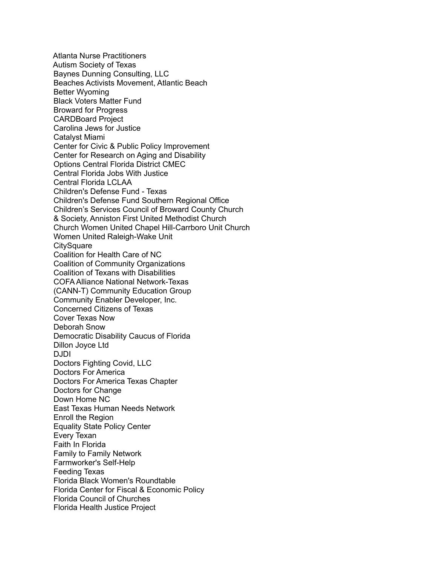Atlanta Nurse Practitioners Autism Society of Texas Baynes Dunning Consulting, LLC Beaches Activists Movement, Atlantic Beach Better Wyoming Black Voters Matter Fund Broward for Progress CARDBoard Project Carolina Jews for Justice Catalyst Miami Center for Civic & Public Policy Improvement Center for Research on Aging and Disability Options Central Florida District CMEC Central Florida Jobs With Justice Central Florida LCLAA Children's Defense Fund - Texas Children's Defense Fund Southern Regional Office Children's Services Council of Broward County Church & Society, Anniston First United Methodist Church Church Women United Chapel Hill-Carrboro Unit Church Women United Raleigh-Wake Unit **CitySquare** Coalition for Health Care of NC Coalition of Community Organizations Coalition of Texans with Disabilities COFA Alliance National Network-Texas (CANN-T) Community Education Group Community Enabler Developer, Inc. Concerned Citizens of Texas Cover Texas Now Deborah Snow Democratic Disability Caucus of Florida Dillon Joyce Ltd DJDI Doctors Fighting Covid, LLC Doctors For America Doctors For America Texas Chapter Doctors for Change Down Home NC East Texas Human Needs Network Enroll the Region Equality State Policy Center Every Texan Faith In Florida Family to Family Network Farmworker's Self-Help Feeding Texas Florida Black Women's Roundtable Florida Center for Fiscal & Economic Policy Florida Council of Churches Florida Health Justice Project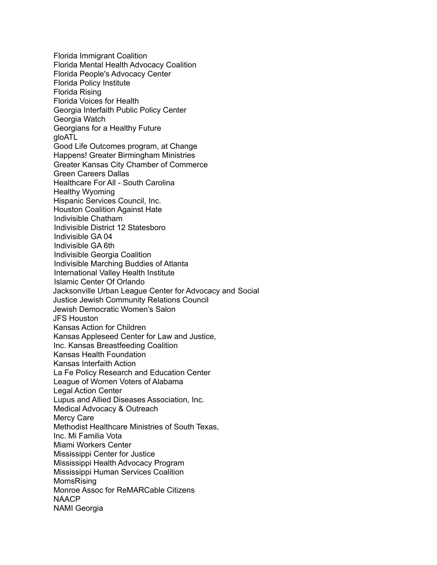Florida Immigrant Coalition Florida Mental Health Advocacy Coalition Florida People's Advocacy Center Florida Policy Institute Florida Rising Florida Voices for Health Georgia Interfaith Public Policy Center Georgia Watch Georgians for a Healthy Future gloATL Good Life Outcomes program, at Change Happens! Greater Birmingham Ministries Greater Kansas City Chamber of Commerce Green Careers Dallas Healthcare For All - South Carolina Healthy Wyoming Hispanic Services Council, Inc. Houston Coalition Against Hate Indivisible Chatham Indivisible District 12 Statesboro Indivisible GA 04 Indivisible GA 6th Indivisible Georgia Coalition Indivisible Marching Buddies of Atlanta International Valley Health Institute Islamic Center Of Orlando Jacksonville Urban League Center for Advocacy and Social Justice Jewish Community Relations Council Jewish Democratic Women's Salon JFS Houston Kansas Action for Children Kansas Appleseed Center for Law and Justice, Inc. Kansas Breastfeeding Coalition Kansas Health Foundation Kansas Interfaith Action La Fe Policy Research and Education Center League of Women Voters of Alabama Legal Action Center Lupus and Allied Diseases Association, Inc. Medical Advocacy & Outreach Mercy Care Methodist Healthcare Ministries of South Texas, Inc. Mi Familia Vota Miami Workers Center Mississippi Center for Justice Mississippi Health Advocacy Program Mississippi Human Services Coalition MomsRising Monroe Assoc for ReMARCable Citizens NAACP NAMI Georgia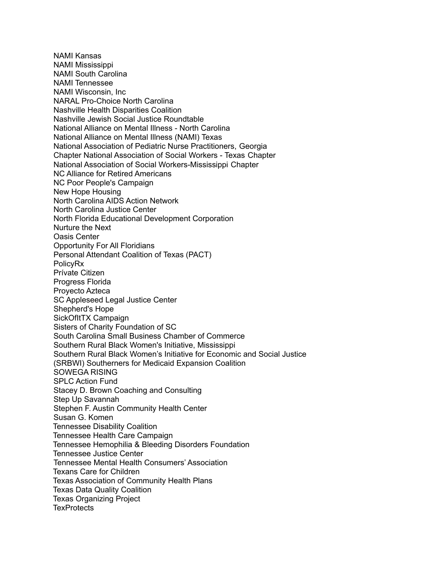NAMI Kansas NAMI Mississippi NAMI South Carolina NAMI Tennessee NAMI Wisconsin, Inc NARAL Pro-Choice North Carolina Nashville Health Disparities Coalition Nashville Jewish Social Justice Roundtable National Alliance on Mental Illness - North Carolina National Alliance on Mental Illness (NAMI) Texas National Association of Pediatric Nurse Practitioners, Georgia Chapter National Association of Social Workers - Texas Chapter National Association of Social Workers-Mississippi Chapter NC Alliance for Retired Americans NC Poor People's Campaign New Hope Housing North Carolina AIDS Action Network North Carolina Justice Center North Florida Educational Development Corporation Nurture the Next Oasis Center Opportunity For All Floridians Personal Attendant Coalition of Texas (PACT) PolicyRx Prívate Citizen Progress Florida Proyecto Azteca SC Appleseed Legal Justice Center Shepherd's Hope SickOfItTX Campaign Sisters of Charity Foundation of SC South Carolina Small Business Chamber of Commerce Southern Rural Black Women's Initiative, Mississippi Southern Rural Black Women's Initiative for Economic and Social Justice (SRBWI) Southerners for Medicaid Expansion Coalition SOWEGA RISING SPLC Action Fund Stacey D. Brown Coaching and Consulting Step Up Savannah Stephen F. Austin Community Health Center Susan G. Komen Tennessee Disability Coalition Tennessee Health Care Campaign Tennessee Hemophilia & Bleeding Disorders Foundation Tennessee Justice Center Tennessee Mental Health Consumers' Association Texans Care for Children Texas Association of Community Health Plans Texas Data Quality Coalition Texas Organizing Project **TexProtects**